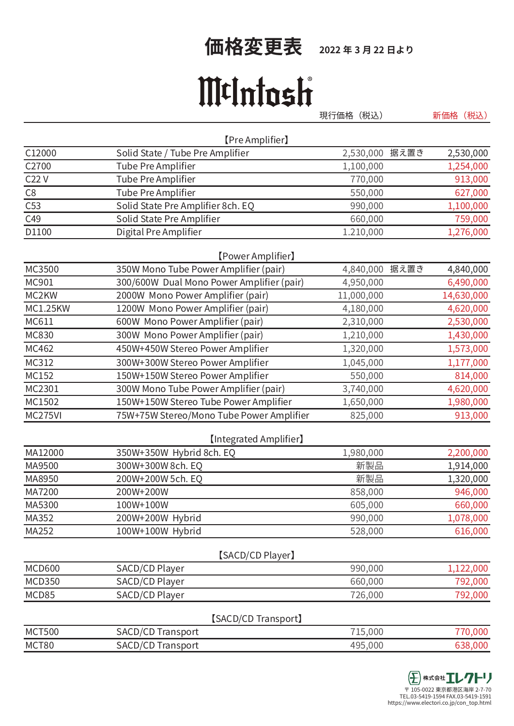## 伍格変更表 2022年3月22日より

## MtIntosh

現行価格 (税込) 新価格 (税込)

|                 | [Pre Amplifier]                           |                   |            |
|-----------------|-------------------------------------------|-------------------|------------|
| C12000          | Solid State / Tube Pre Amplifier          | 2,530,000<br>据え置き | 2,530,000  |
| C2700           | <b>Tube Pre Amplifier</b>                 | 1,100,000         | 1,254,000  |
| C22V            | Tube Pre Amplifier                        | 770,000           | 913,000    |
| C8              | Tube Pre Amplifier                        | 550,000           | 627,000    |
| C53             | Solid State Pre Amplifier 8ch. EQ         | 990,000           | 1,100,000  |
| C49             | Solid State Pre Amplifier                 | 660,000           | 759,000    |
| D1100           | Digital Pre Amplifier                     | 1.210,000         | 1,276,000  |
|                 | [Power Amplifier]                         |                   |            |
| MC3500          | 350W Mono Tube Power Amplifier (pair)     | 据え置き<br>4,840,000 | 4,840,000  |
| MC901           | 300/600W Dual Mono Power Amplifier (pair) | 4,950,000         | 6,490,000  |
| MC2KW           | 2000W Mono Power Amplifier (pair)         | 11,000,000        | 14,630,000 |
| <b>MC1.25KW</b> | 1200W Mono Power Amplifier (pair)         | 4,180,000         | 4,620,000  |
| MC611           | 600W Mono Power Amplifier (pair)          | 2,310,000         | 2,530,000  |
| MC830           | 300W Mono Power Amplifier (pair)          | 1,210,000         | 1,430,000  |
| MC462           | 450W+450W Stereo Power Amplifier          | 1,320,000         | 1,573,000  |
| MC312           | 300W+300W Stereo Power Amplifier          | 1,045,000         | 1,177,000  |
| MC152           | 150W+150W Stereo Power Amplifier          | 550,000           | 814,000    |
| MC2301          | 300W Mono Tube Power Amplifier (pair)     | 3,740,000         | 4,620,000  |
| MC1502          | 150W+150W Stereo Tube Power Amplifier     | 1,650,000         | 1,980,000  |
| MC275VI         | 75W+75W Stereo/Mono Tube Power Amplifier  | 825,000           | 913,000    |
|                 | <b>[Integrated Amplifier]</b>             |                   |            |
| MA12000         | 350W+350W Hybrid 8ch. EQ                  | 1,980,000         | 2,200,000  |
| MA9500          | 300W+300W 8ch. EQ                         | 新製品               | 1,914,000  |
| MA8950          | 200W+200W 5ch. EQ                         | 新製品               | 1,320,000  |
| MA7200          | 200W+200W                                 | 858,000           | 946,000    |
| MA5300          | 100W+100W                                 | 605,000           | 660,000    |
| MA352           | 200W+200W Hybrid                          | 990,000           | 1,078,000  |
| MA252           | 100W+100W Hybrid                          | 528,000           | 616,000    |
|                 | [SACD/CD Player]                          |                   |            |
| <b>MCD600</b>   | SACD/CD Player                            | 990,000           | 1,122,000  |
| <b>MCD350</b>   | SACD/CD Player                            | 660,000           | 792,000    |
| MCD85           | SACD/CD Player                            | 726,000           | 792,000    |
|                 | [SACD/CD Transport]                       |                   |            |
| <b>MCT500</b>   | SACD/CD Transport                         | 715,000           | 770,000    |
| MCT80           | SACD/CD Transport                         | 495,000           | 638,000    |